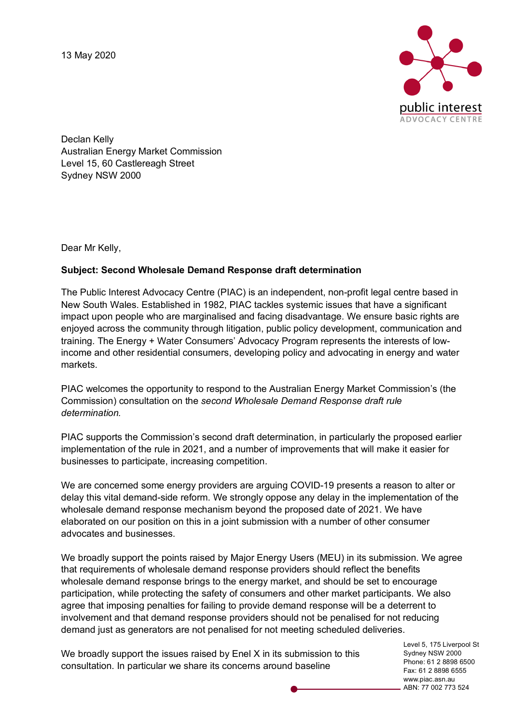13 May 2020



Declan Kelly Australian Energy Market Commission Level 15, 60 Castlereagh Street Sydney NSW 2000

Dear Mr Kelly,

## **Subject: Second Wholesale Demand Response draft determination**

The Public Interest Advocacy Centre (PIAC) is an independent, non-profit legal centre based in New South Wales. Established in 1982, PIAC tackles systemic issues that have a significant impact upon people who are marginalised and facing disadvantage. We ensure basic rights are enjoyed across the community through litigation, public policy development, communication and training. The Energy + Water Consumers' Advocacy Program represents the interests of lowincome and other residential consumers, developing policy and advocating in energy and water markets.

PIAC welcomes the opportunity to respond to the Australian Energy Market Commission's (the Commission) consultation on the *second Wholesale Demand Response draft rule determination.*

PIAC supports the Commission's second draft determination, in particularly the proposed earlier implementation of the rule in 2021, and a number of improvements that will make it easier for businesses to participate, increasing competition.

We are concerned some energy providers are arguing COVID-19 presents a reason to alter or delay this vital demand-side reform. We strongly oppose any delay in the implementation of the wholesale demand response mechanism beyond the proposed date of 2021. We have elaborated on our position on this in a joint submission with a number of other consumer advocates and businesses.

We broadly support the points raised by Major Energy Users (MEU) in its submission. We agree that requirements of wholesale demand response providers should reflect the benefits wholesale demand response brings to the energy market, and should be set to encourage participation, while protecting the safety of consumers and other market participants. We also agree that imposing penalties for failing to provide demand response will be a deterrent to involvement and that demand response providers should not be penalised for not reducing demand just as generators are not penalised for not meeting scheduled deliveries.

We broadly support the issues raised by Enel X in its submission to this consultation. In particular we share its concerns around baseline

Level 5, 175 Liverpool St Sydney NSW 2000 Phone: 61 2 8898 6500 Fax: 61 2 8898 6555 www.piac.asn.au ABN: 77 002 773 524